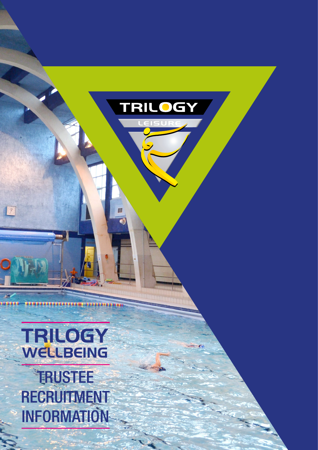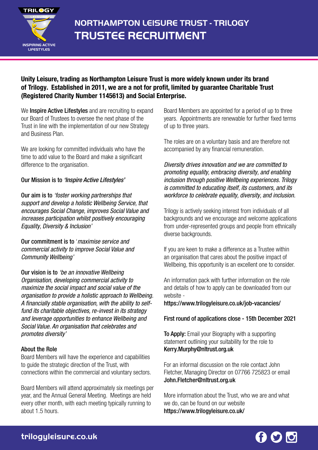

# **NORTHAMPTON LEISURE TRUST - TRILOGY TRUSTEE RECRUITMENT**

## Unity Leisure, trading as Northampton Leisure Trust is more widely known under its brand of Trilogy. Established in 2011, we are a not for profit, limited by guarantee Charitable Trust (Registered Charity Number 1145613) and Social Enterprise.

We **Inspire Active Lifestyles** and are recruiting to expand our Board of Trustees to oversee the next phase of the Trust in line with the implementation of our new Strategy and Business Plan.

We are looking for committed individuals who have the time to add value to the Board and make a significant difference to the organisation.

### Our Mission is to 'Inspire Active Lifestyles'

Our aim is to 'foster working partnerships that support and develop a holistic Wellbeing Service, that encourages Social Change, improves Social Value and increases participation whilst positively encouraging Equality, Diversity & Inclusion'

Our commitment is to 'maximise service and commercial activity to improve Social Value and Community Wellbeing'

Our vision is to 'be an innovative Wellbeing Organisation, developing commercial activity to maximize the social impact and social value of the organisation to provide a holistic approach to Wellbeing. A financially stable organisation, with the ability to selffund its charitable objectives, re-invest in its strategy and leverage opportunities to enhance Wellbeing and Social Value. An organisation that celebrates and promotes diversity'

#### About the Role

Board Members will have the experience and capabilities to guide the strategic direction of the Trust, with connections within the commercial and voluntary sectors.

Board Members will attend approximately six meetings per year, and the Annual General Meeting. Meetings are held every other month, with each meeting typically running to about 1.5 hours.

Board Members are appointed for a period of up to three years. Appointments are renewable for further fixed terms of up to three years.

The roles are on a voluntary basis and are therefore not accompanied by any financial remuneration.

Diversity drives innovation and we are committed to promoting equality, embracing diversity, and enabling inclusion through positive Wellbeing experiences. Trilogy is committed to educating itself, its customers, and its workforce to celebrate equality, diversity, and inclusion.

Trilogy is actively seeking interest from individuals of all backgrounds and we encourage and welcome applications from under-represented groups and people from ethnically diverse backgrounds.

If you are keen to make a difference as a Trustee within an organisation that cares about the positive impact of Wellbeing, this opportunity is an excellent one to consider.

An information pack with further information on the role and details of how to apply can be downloaded from our website -

https://www.trilogyleisure.co.uk/job-vacancies/

First round of applications close - 15th December 2021

**To Apply:** Email your Biography with a supporting statement outlining your suitability for the role to Kerry.Murphy@nltrust.org.uk

For an informal discussion on the role contact John Fletcher, Managing Director on 07766 725823 or email John.Fletcher@nltrust.org.uk

More information about the Trust, who we are and what we do, can be found on our website https://www.trilogyleisure.co.uk/

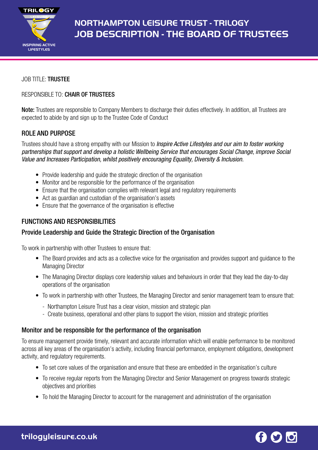

## **NORTHAMPTON LEISURE TRUST - TRILOGY JOB DESCRIPTION - THE BOARD OF TRUSTEES**

#### JOB TITLE: TRUSTEE

#### RESPONSIBLE TO: CHAIR OF TRUSTEES

Note: Trustees are responsible to Company Members to discharge their duties effectively. In addition, all Trustees are expected to abide by and sign up to the Trustee Code of Conduct

### ROLE AND PURPOSE

Trustees should have a strong empathy with our Mission to *Inspire Active Lifestyles and our aim to foster working* partnerships that support and develop a holistic Wellbeing Service that encourages Social Change, improve Social Value and Increases Participation, whilst positively encouraging Equality, Diversity & Inclusion.

- Provide leadership and guide the strategic direction of the organisation
- Monitor and be responsible for the performance of the organisation
- Ensure that the organisation complies with relevant legal and regulatory requirements
- Act as guardian and custodian of the organisation's assets
- Ensure that the governance of the organisation is effective

### FUNCTIONS AND RESPONSIBILITIES

## Provide Leadership and Guide the Strategic Direction of the Organisation

To work in partnership with other Trustees to ensure that:

- The Board provides and acts as a collective voice for the organisation and provides support and guidance to the Managing Director
- The Managing Director displays core leadership values and behaviours in order that they lead the day-to-day operations of the organisation
- To work in partnership with other Trustees, the Managing Director and senior management team to ensure that:
	- Northampton Leisure Trust has a clear vision, mission and strategic plan
	- Create business, operational and other plans to support the vision, mission and strategic priorities

#### Monitor and be responsible for the performance of the organisation

To ensure management provide timely, relevant and accurate information which will enable performance to be monitored across all key areas of the organisation's activity, including financial performance, employment obligations, development activity, and regulatory requirements.

- To set core values of the organisation and ensure that these are embedded in the organisation's culture
- To receive regular reports from the Managing Director and Senior Management on progress towards strategic objectives and priorities
- To hold the Managing Director to account for the management and administration of the organisation

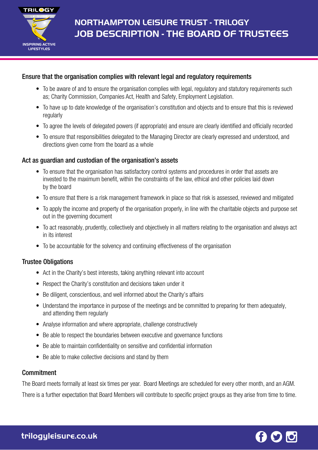

## **NORTHAMPTON LEISURE TRUST - TRILOGY JOB DESCRIPTION - THE BOARD OF TRUSTEES**

## Ensure that the organisation complies with relevant legal and regulatory requirements

- To be aware of and to ensure the organisation complies with legal, regulatory and statutory requirements such as; Charity Commission, Companies Act, Health and Safety, Employment Legislation.
- To have up to date knowledge of the organisation's constitution and objects and to ensure that this is reviewed regularly
- To agree the levels of delegated powers (if appropriate) and ensure are clearly identified and officially recorded
- To ensure that responsibilities delegated to the Managing Director are clearly expressed and understood, and directions given come from the board as a whole

## Act as guardian and custodian of the organisation's assets

- To ensure that the organisation has satisfactory control systems and procedures in order that assets are invested to the maximum benefit, within the constraints of the law, ethical and other policies laid down by the board
- To ensure that there is a risk management framework in place so that risk is assessed, reviewed and mitigated
- To apply the income and property of the organisation properly, in line with the charitable objects and purpose set out in the governing document
- To act reasonably, prudently, collectively and objectively in all matters relating to the organisation and always act in its interest
- To be accountable for the solvency and continuing effectiveness of the organisation

## Trustee Obligations

- Act in the Charity's best interests, taking anything relevant into account
- Respect the Charity's constitution and decisions taken under it
- Be diligent, conscientious, and well informed about the Charity's affairs
- Understand the importance in purpose of the meetings and be committed to preparing for them adequately, and attending them regularly
- Analyse information and where appropriate, challenge constructively
- Be able to respect the boundaries between executive and governance functions
- Be able to maintain confidentiality on sensitive and confidential information
- Be able to make collective decisions and stand by them

## **Commitment**

The Board meets formally at least six times per year. Board Meetings are scheduled for every other month, and an AGM. There is a further expectation that Board Members will contribute to specific project groups as they arise from time to time.

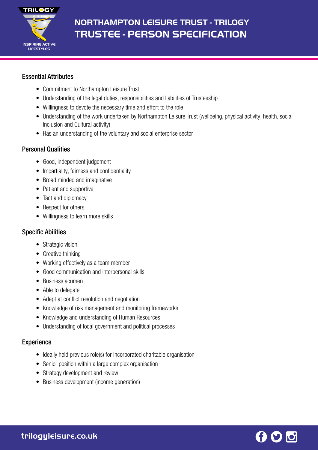

## **NORTHAMPTON LEISURE TRUST - TRILOGY TRUSTEE - PERSON SPECIFICATION**

## Essential Attributes

- Commitment to Northampton Leisure Trust
- Understanding of the legal duties, responsibilities and liabilities of Trusteeship
- Willingness to devote the necessary time and effort to the role
- Understanding of the work undertaken by Northampton Leisure Trust (wellbeing, physical activity, health, social inclusion and Cultural activity)
- Has an understanding of the voluntary and social enterprise sector

## Personal Qualities

- Good, independent judgement
- Impartiality, fairness and confidentiality
- Broad minded and imaginative
- Patient and supportive
- Tact and diplomacy
- Respect for others
- Willingness to learn more skills

## Specific Abilities

- Strategic vision
- Creative thinking
- Working effectively as a team member
- Good communication and interpersonal skills
- Business acumen
- Able to delegate
- Adept at conflict resolution and negotiation
- Knowledge of risk management and monitoring frameworks
- Knowledge and understanding of Human Resources
- Understanding of local government and political processes

## **Experience**

- Ideally held previous role(s) for incorporated charitable organisation
- Senior position within a large complex organisation
- Strategy development and review
- Business development (income generation)